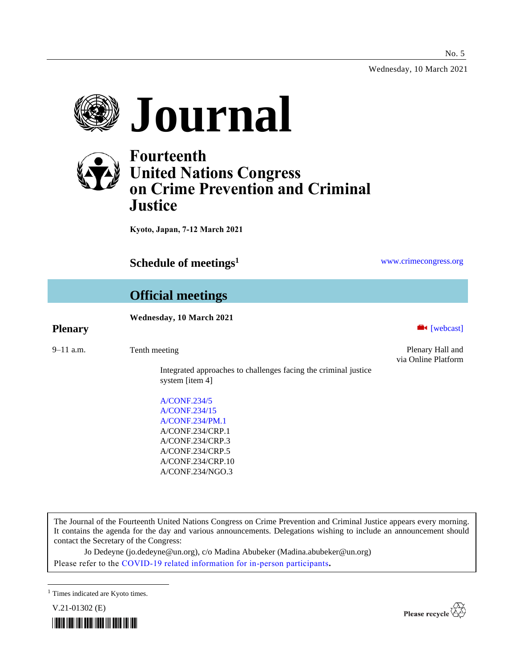Wednesday, 10 March 2021





# **Fourteenth United Nations Congress on Crime Prevention and Criminal Justice**

**Kyoto, Japan, 7-12 March 2021**

**Schedule of meetings<sup>1</sup>** [www.crimecongress.org](http://www.crimecongress.org/)

# **Official meetings**

## **Wednesday, 10 March 2021**

## **Plenary Exercise Exercise 2** (webcast)

9–11 a.m. Tenth meeting Plenary Hall and

Integrated approaches to challenges facing the criminal justice system [item 4]

[A/CONF.234/5](http://undocs.org/A/CONF.234/5) [A/CONF.234/15](http://undocs.org/A/CONF.234/15) [A/CONF.234/PM.1](http://undocs.org/A/CONF.234/PM.1) A/CONF.234/CRP.1 A/CONF.234/CRP.3 A/CONF.234/CRP.5 A/CONF.234/CRP.10 A/CONF.234/NGO.3

via Online Platform

The Journal of the Fourteenth United Nations Congress on Crime Prevention and Criminal Justice appears every morning. It contains the agenda for the day and various announcements. Delegations wishing to include an announcement should contact the Secretary of the Congress:

Jo Dedeyne (jo.dedeyne@un.org), c/o Madina Abubeker (Madina.abubeker@un.org) Please refer to the [COVID-19 related information for in-person participants](https://www.unodc.org/unodc/en/crimecongress/covid-19.html)**.**





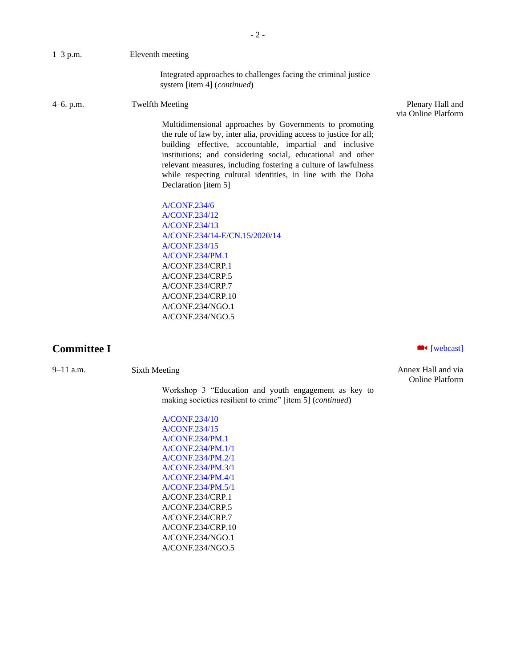| $1-3$ p.m.  | Eleventh meeting                                                                                                                                                                                                                                                                                                                                                                                                    |                                         |
|-------------|---------------------------------------------------------------------------------------------------------------------------------------------------------------------------------------------------------------------------------------------------------------------------------------------------------------------------------------------------------------------------------------------------------------------|-----------------------------------------|
|             | Integrated approaches to challenges facing the criminal justice<br>system [item 4] (continued)                                                                                                                                                                                                                                                                                                                      |                                         |
| $4-6.$ p.m. | <b>Twelfth Meeting</b>                                                                                                                                                                                                                                                                                                                                                                                              | Plenary Hall and<br>via Online Platform |
|             | Multidimensional approaches by Governments to promoting<br>the rule of law by, inter alia, providing access to justice for all;<br>building effective, accountable, impartial and inclusive<br>institutions; and considering social, educational and other<br>relevant measures, including fostering a culture of lawfulness<br>while respecting cultural identities, in line with the Doha<br>Declaration [item 5] |                                         |
|             | <b>A/CONF.234/6</b>                                                                                                                                                                                                                                                                                                                                                                                                 |                                         |
|             | A/CONF.234/12                                                                                                                                                                                                                                                                                                                                                                                                       |                                         |
|             | A/CONF.234/13                                                                                                                                                                                                                                                                                                                                                                                                       |                                         |
|             | A/CONF.234/14-E/CN.15/2020/14                                                                                                                                                                                                                                                                                                                                                                                       |                                         |
|             | A/CONF.234/15                                                                                                                                                                                                                                                                                                                                                                                                       |                                         |
|             | <b>A/CONF.234/PM.1</b>                                                                                                                                                                                                                                                                                                                                                                                              |                                         |
|             | A/CONF.234/CRP.1                                                                                                                                                                                                                                                                                                                                                                                                    |                                         |
|             | A/CONF.234/CRP.5                                                                                                                                                                                                                                                                                                                                                                                                    |                                         |

**Committee I a** [\[webcast\]](https://www.unodc.org/unodc/en/crimecongress/webcast.html)

Workshop 3 "Education and youth engagement as key to making societies resilient to crime" [item 5] (*continued*)

[A/CONF.234/10](http://undocs.org/A/CONF.234/10) [A/CONF.234/15](http://undocs.org/A/CONF.234/15) [A/CONF.234/PM.1](http://undocs.org/A/CONF.234/PM.1) [A/CONF.234/PM.1/1](http://undocs.org/A/CONF.234/PM.1/1) [A/CONF.234/PM.2/1](http://undocs.org/A/CONF.234/PM.2/1) [A/CONF.234/PM.3/1](http://undocs.org/A/CONF.234/PM.3/1) [A/CONF.234/PM.4/1](http://undocs.org/A/CONF.234/PM.4/1) [A/CONF.234/PM.5/1](http://undocs.org/A/CONF.234/PM.5/1) A/CONF.234/CRP.1 A/CONF.234/CRP.5 A/CONF.234/CRP.7 A/CONF.234/CRP.10 A/CONF.234/NGO.1 A/CONF.234/NGO.5

A/CONF.234/CRP.7 A/CONF.234/CRP.10 A/CONF.234/NGO.1 A/CONF.234/NGO.5

9–11 a.m. Sixth Meeting Sixth Meeting Sixth Annex Hall and via Online Platform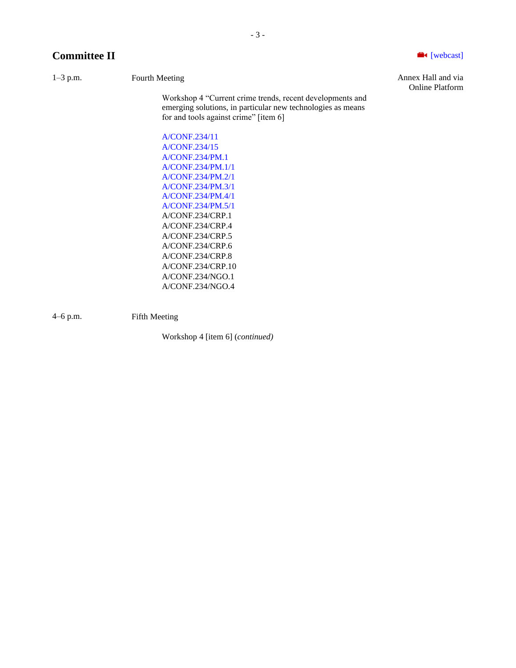## **Committee II and Committee II and Committee II and Committee II and Committee II and Committee II and Committee II and Committee II and Committee II and Committee II and Committee II and Committee II**

Workshop 4 "Current crime trends, recent developments and emerging solutions, in particular new technologies as means for and tools against crime" [item 6]

[A/CONF.234/11](http://undocs.org/A/CONF.234/11) [A/CONF.234/15](http://undocs.org/A/CONF.234/15) [A/CONF.234/PM.1](http://undocs.org/A/CONF.234/PM.1) [A/CONF.234/PM.1/1](http://undocs.org/A/CONF.234/PM.1/1) [A/CONF.234/PM.2/1](http://undocs.org/A/CONF.234/PM.2/1) [A/CONF.234/PM.3/1](http://undocs.org/A/CONF.234/PM.3/1) [A/CONF.234/PM.4/1](http://undocs.org/A/CONF.234/PM.4/1) [A/CONF.234/PM.5/1](http://undocs.org/A/CONF.234/PM.5/1) A/CONF.234/CRP.1 A/CONF.234/CRP.4 A/CONF.234/CRP.5 A/CONF.234/CRP.6 A/CONF.234/CRP.8 A/CONF.234/CRP.10 A/CONF.234/NGO.1 A/CONF.234/NGO.4

4–6 p.m. Fifth Meeting

Workshop 4 [item 6] (*continued)*

1–3 p.m. Fourth Meeting Fourth Meeting Fourth Annex Hall and via Online Platform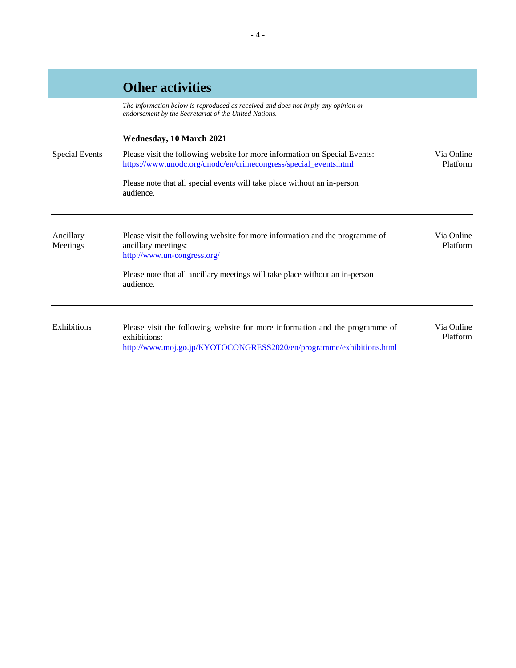|                       | <b>Other activities</b>                                                                                                                                              |                        |
|-----------------------|----------------------------------------------------------------------------------------------------------------------------------------------------------------------|------------------------|
|                       | The information below is reproduced as received and does not imply any opinion or<br>endorsement by the Secretariat of the United Nations.                           |                        |
|                       | Wednesday, 10 March 2021                                                                                                                                             |                        |
| Special Events        | Please visit the following website for more information on Special Events:<br>https://www.unodc.org/unodc/en/crimecongress/special_events.html                       | Via Online<br>Platform |
|                       | Please note that all special events will take place without an in-person<br>audience.                                                                                |                        |
| Ancillary<br>Meetings | Please visit the following website for more information and the programme of<br>ancillary meetings:<br>http://www.un-congress.org/                                   | Via Online<br>Platform |
|                       | Please note that all ancillary meetings will take place without an in-person<br>audience.                                                                            |                        |
| Exhibitions           | Please visit the following website for more information and the programme of<br>exhibitions:<br>http://www.moj.go.jp/KYOTOCONGRESS2020/en/programme/exhibitions.html | Via Online<br>Platform |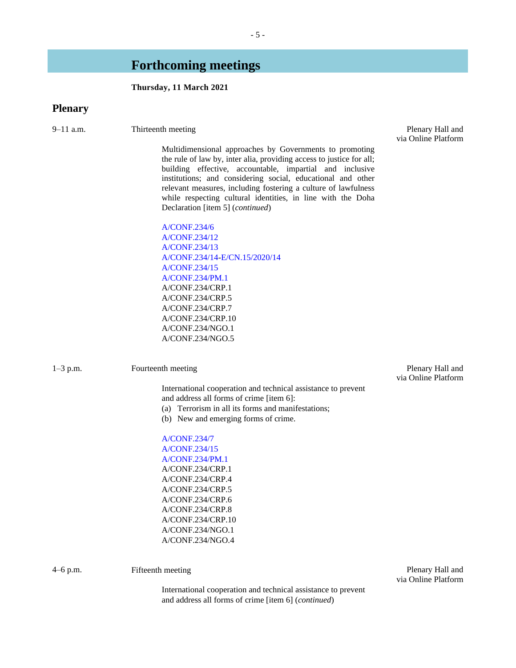## **Forthcoming meetings**

## **Thursday, 11 March 2021**

## **Plenary**

9–11 a.m. Thirteenth meeting Plenary Hall and Plenary Hall and

Multidimensional approaches by Governments to promoting the rule of law by, inter alia, providing access to justice for all; building effective, accountable, impartial and inclusive institutions; and considering social, educational and other relevant measures, including fostering a culture of lawfulness while respecting cultural identities, in line with the Doha Declaration [item 5] (*continued*)

[A/CONF.234/6](http://undocs.org/A/CONF.234/6) [A/CONF.234/12](http://undocs.org/A/CONF.234/12) [A/CONF.234/13](http://undocs.org/A/CONF.234/13) [A/CONF.234/14](http://undocs.org/A/CONF.234/14)[-E/CN.15/2020/14](http://undocs.org/E/CN.15/2020/14) [A/CONF.234/15](http://undocs.org/A/CONF.234/15) [A/CONF.234/PM.1](http://undocs.org/A/CONF.234/PM.1) A/CONF.234/CRP.1 A/CONF.234/CRP.5 A/CONF.234/CRP.7 A/CONF.234/CRP.10 A/CONF.234/NGO.1 A/CONF.234/NGO.5

1–3 p.m. Fourteenth meeting Plenary Hall and

via Online Platform

International cooperation and technical assistance to prevent and address all forms of crime [item 6]:

- (a) Terrorism in all its forms and manifestations;
- (b) New and emerging forms of crime.

[A/CONF.234/7](http://undocs.org/A/CONF.234/7) [A/CONF.234/15](http://undocs.org/A/CONF.234/15) [A/CONF.234/PM.1](http://undocs.org/A/CONF.234/PM.1) A/CONF.234/CRP.1 A/CONF.234/CRP.4 A/CONF.234/CRP.5 A/CONF.234/CRP.6 A/CONF.234/CRP.8 A/CONF.234/CRP.10 A/CONF.234/NGO.1 A/CONF.234/NGO.4

4–6 p.m. Fifteenth meeting Plenary Hall and via Online Platform

- 5 -

via Online Platform

International cooperation and technical assistance to prevent and address all forms of crime [item 6] (*continued*)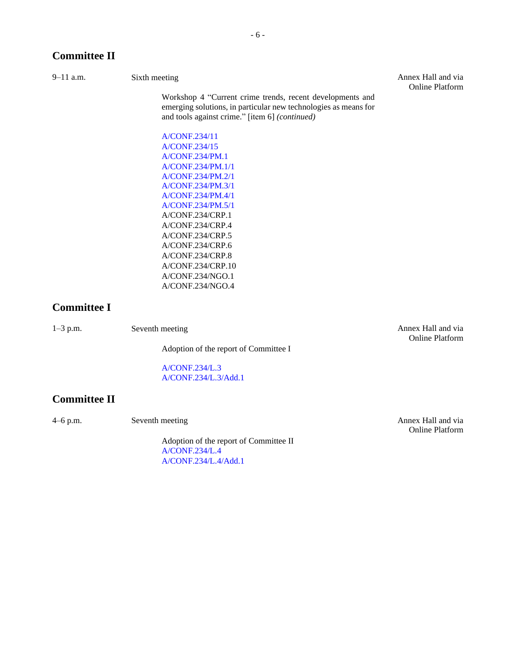## **Committee II**

Workshop 4 "Current crime trends, recent developments and emerging solutions, in particular new technologies as means for and tools against crime." [item 6] *(continued)*

9–11 a.m. Sixth meeting Sixth meeting Annex Hall and via Online Platform

> [A/CONF.234/11](http://undocs.org/A/CONF.234/11) [A/CONF.234/15](http://undocs.org/A/CONF.234/15) [A/CONF.234/PM.1](http://undocs.org/A/CONF.234/PM.1) [A/CONF.234/PM.1/1](http://undocs.org/A/CONF.234/PM.1/1) [A/CONF.234/PM.2/1](http://undocs.org/A/CONF.234/PM.2/1) [A/CONF.234/PM.3/1](http://undocs.org/A/CONF.234/PM.3/1) [A/CONF.234/PM.4/1](http://undocs.org/A/CONF.234/PM.4/1) [A/CONF.234/PM.5/1](http://undocs.org/A/CONF.234/PM.5/1) A/CONF.234/CRP.1 A/CONF.234/CRP.4 A/CONF.234/CRP.5 A/CONF.234/CRP.6 A/CONF.234/CRP.8 A/CONF.234/CRP.10 A/CONF.234/NGO.1 A/CONF.234/NGO.4

## **Committee I**

1–3 p.m. Seventh meeting Annex Hall and via

Adoption of the report of Committee I

[A/CONF.234/L.3](http://undocs.org/A/CONF.234/L.3) [A/CONF.234/L.3/Add.1](http://undocs.org/A/CONF.234/L.3/Add.1)

## **Committee II**

4–6 p.m. Seventh meeting Seventh meeting Annex Hall and via

Adoption of the report of Committee II [A/CONF.234/L.4](http://undocs.org/A/CONF.234/L.4) [A/CONF.234/L.4/Add.1](http://undocs.org/A/CONF.234/L.4/Add.1)

Online Platform

Online Platform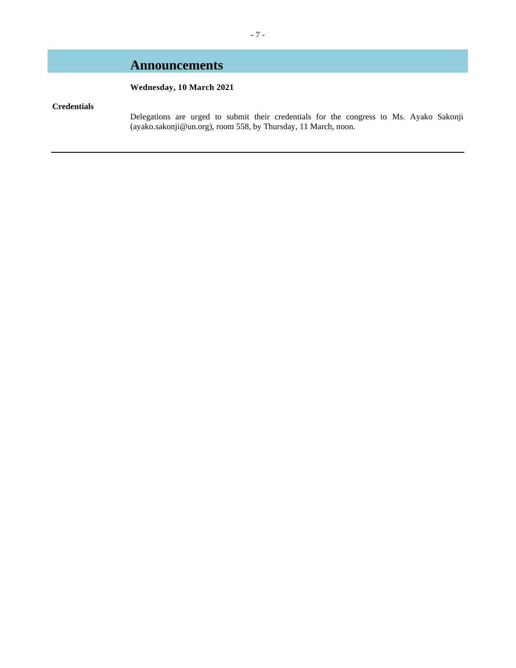# **Announcements**

## **Wednesday, 10 March 2021**

## **Credentials**

Delegations are urged to submit their credentials for the congress to Ms. Ayako Sakonji (ayako.sakonji@un.org), room 558, by Thursday, 11 March, noon.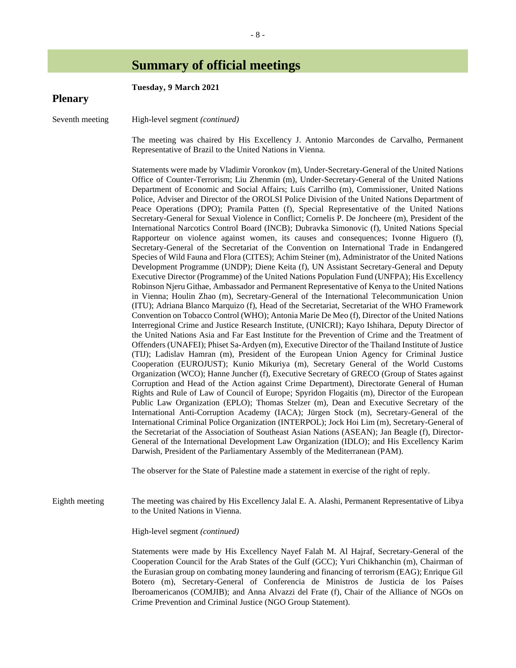# **Summary of official meetings**

| <b>Plenary</b>  | Tuesday, 9 March 2021                                                                                                                                                                                                                                                                                                                                                                                                                                                                                                                                                                                                                                                                                                                                                                                                                                                                                                                                                                                                                                                                                                                                                                                                                                                                                                                                                                                                                                                                                                                                                                                                                                                                                                                                                                                                                                                                                                                                                                                                                                                                                                                                                                                                                                                                                                                                                                                                                                                                                                                                                                                                                                                                                                                                                                                                                                                                                                                                     |
|-----------------|-----------------------------------------------------------------------------------------------------------------------------------------------------------------------------------------------------------------------------------------------------------------------------------------------------------------------------------------------------------------------------------------------------------------------------------------------------------------------------------------------------------------------------------------------------------------------------------------------------------------------------------------------------------------------------------------------------------------------------------------------------------------------------------------------------------------------------------------------------------------------------------------------------------------------------------------------------------------------------------------------------------------------------------------------------------------------------------------------------------------------------------------------------------------------------------------------------------------------------------------------------------------------------------------------------------------------------------------------------------------------------------------------------------------------------------------------------------------------------------------------------------------------------------------------------------------------------------------------------------------------------------------------------------------------------------------------------------------------------------------------------------------------------------------------------------------------------------------------------------------------------------------------------------------------------------------------------------------------------------------------------------------------------------------------------------------------------------------------------------------------------------------------------------------------------------------------------------------------------------------------------------------------------------------------------------------------------------------------------------------------------------------------------------------------------------------------------------------------------------------------------------------------------------------------------------------------------------------------------------------------------------------------------------------------------------------------------------------------------------------------------------------------------------------------------------------------------------------------------------------------------------------------------------------------------------------------------------|
| Seventh meeting | High-level segment (continued)                                                                                                                                                                                                                                                                                                                                                                                                                                                                                                                                                                                                                                                                                                                                                                                                                                                                                                                                                                                                                                                                                                                                                                                                                                                                                                                                                                                                                                                                                                                                                                                                                                                                                                                                                                                                                                                                                                                                                                                                                                                                                                                                                                                                                                                                                                                                                                                                                                                                                                                                                                                                                                                                                                                                                                                                                                                                                                                            |
|                 | The meeting was chaired by His Excellency J. Antonio Marcondes de Carvalho, Permanent<br>Representative of Brazil to the United Nations in Vienna.                                                                                                                                                                                                                                                                                                                                                                                                                                                                                                                                                                                                                                                                                                                                                                                                                                                                                                                                                                                                                                                                                                                                                                                                                                                                                                                                                                                                                                                                                                                                                                                                                                                                                                                                                                                                                                                                                                                                                                                                                                                                                                                                                                                                                                                                                                                                                                                                                                                                                                                                                                                                                                                                                                                                                                                                        |
|                 | Statements were made by Vladimir Voronkov (m), Under-Secretary-General of the United Nations<br>Office of Counter-Terrorism; Liu Zhenmin (m), Under-Secretary-General of the United Nations<br>Department of Economic and Social Affairs; Luís Carrilho (m), Commissioner, United Nations<br>Police, Adviser and Director of the OROLSI Police Division of the United Nations Department of<br>Peace Operations (DPO); Pramila Patten (f), Special Representative of the United Nations<br>Secretary-General for Sexual Violence in Conflict; Cornelis P. De Joncheere (m), President of the<br>International Narcotics Control Board (INCB); Dubravka Simonovic (f), United Nations Special<br>Rapporteur on violence against women, its causes and consequences; Ivonne Higuero (f),<br>Secretary-General of the Secretariat of the Convention on International Trade in Endangered<br>Species of Wild Fauna and Flora (CITES); Achim Steiner (m), Administrator of the United Nations<br>Development Programme (UNDP); Diene Keita (f), UN Assistant Secretary-General and Deputy<br>Executive Director (Programme) of the United Nations Population Fund (UNFPA); His Excellency<br>Robinson Njeru Githae, Ambassador and Permanent Representative of Kenya to the United Nations<br>in Vienna; Houlin Zhao (m), Secretary-General of the International Telecommunication Union<br>(ITU); Adriana Blanco Marquizo (f), Head of the Secretariat, Secretariat of the WHO Framework<br>Convention on Tobacco Control (WHO); Antonia Marie De Meo (f), Director of the United Nations<br>Interregional Crime and Justice Research Institute, (UNICRI); Kayo Ishihara, Deputy Director of<br>the United Nations Asia and Far East Institute for the Prevention of Crime and the Treatment of<br>Offenders (UNAFEI); Phiset Sa-Ardyen (m), Executive Director of the Thailand Institute of Justice<br>(TIJ); Ladislav Hamran (m), President of the European Union Agency for Criminal Justice<br>Cooperation (EUROJUST); Kunio Mikuriya (m), Secretary General of the World Customs<br>Organization (WCO); Hanne Juncher (f), Executive Secretary of GRECO (Group of States against<br>Corruption and Head of the Action against Crime Department), Directorate General of Human<br>Rights and Rule of Law of Council of Europe; Spyridon Flogaitis (m), Director of the European<br>Public Law Organization (EPLO); Thomas Stelzer (m), Dean and Executive Secretary of the<br>International Anti-Corruption Academy (IACA); Jürgen Stock (m), Secretary-General of the<br>International Criminal Police Organization (INTERPOL); Jock Hoi Lim (m), Secretary-General of<br>the Secretariat of the Association of Southeast Asian Nations (ASEAN); Jan Beagle (f), Director-<br>General of the International Development Law Organization (IDLO); and His Excellency Karim<br>Darwish, President of the Parliamentary Assembly of the Mediterranean (PAM). |
|                 | The observer for the State of Palestine made a statement in exercise of the right of reply.                                                                                                                                                                                                                                                                                                                                                                                                                                                                                                                                                                                                                                                                                                                                                                                                                                                                                                                                                                                                                                                                                                                                                                                                                                                                                                                                                                                                                                                                                                                                                                                                                                                                                                                                                                                                                                                                                                                                                                                                                                                                                                                                                                                                                                                                                                                                                                                                                                                                                                                                                                                                                                                                                                                                                                                                                                                               |
| Eighth meeting  | The meeting was chaired by His Excellency Jalal E. A. Alashi, Permanent Representative of Libya<br>to the United Nations in Vienna.                                                                                                                                                                                                                                                                                                                                                                                                                                                                                                                                                                                                                                                                                                                                                                                                                                                                                                                                                                                                                                                                                                                                                                                                                                                                                                                                                                                                                                                                                                                                                                                                                                                                                                                                                                                                                                                                                                                                                                                                                                                                                                                                                                                                                                                                                                                                                                                                                                                                                                                                                                                                                                                                                                                                                                                                                       |
|                 | High-level segment (continued)                                                                                                                                                                                                                                                                                                                                                                                                                                                                                                                                                                                                                                                                                                                                                                                                                                                                                                                                                                                                                                                                                                                                                                                                                                                                                                                                                                                                                                                                                                                                                                                                                                                                                                                                                                                                                                                                                                                                                                                                                                                                                                                                                                                                                                                                                                                                                                                                                                                                                                                                                                                                                                                                                                                                                                                                                                                                                                                            |
|                 | Statements were made by His Excellency Nayef Falah M. Al Hajraf, Secretary-General of the<br>Cooperation Council for the Arab States of the Gulf (GCC); Yuri Chikhanchin (m), Chairman of<br>the Eurasian group on combating money laundering and financing of terrorism (EAG); Enrique Gil<br>Botero (m), Secretary-General of Conferencia de Ministros de Justicia de los Países<br>Iberoamericanos (COMJIB); and Anna Alvazzi del Frate (f), Chair of the Alliance of NGOs on<br>Crime Prevention and Criminal Justice (NGO Group Statement).                                                                                                                                                                                                                                                                                                                                                                                                                                                                                                                                                                                                                                                                                                                                                                                                                                                                                                                                                                                                                                                                                                                                                                                                                                                                                                                                                                                                                                                                                                                                                                                                                                                                                                                                                                                                                                                                                                                                                                                                                                                                                                                                                                                                                                                                                                                                                                                                          |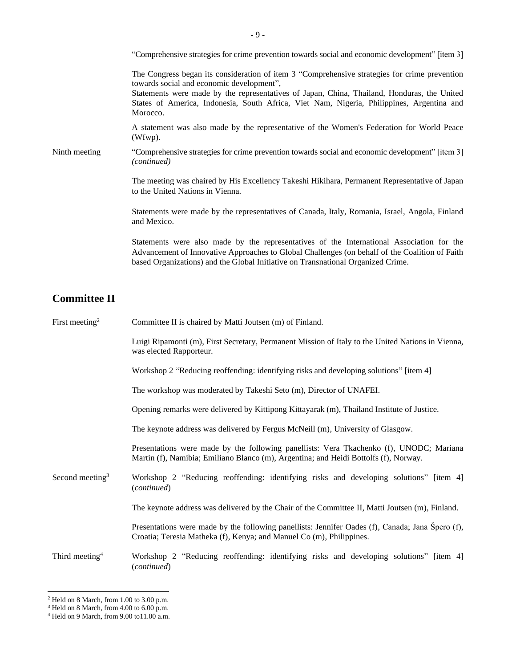|               | "Comprehensive strategies for crime prevention towards social and economic development" [item 3]                                                                                                                                                                                                                                                   |
|---------------|----------------------------------------------------------------------------------------------------------------------------------------------------------------------------------------------------------------------------------------------------------------------------------------------------------------------------------------------------|
|               | The Congress began its consideration of item 3 "Comprehensive strategies for crime prevention<br>towards social and economic development",<br>Statements were made by the representatives of Japan, China, Thailand, Honduras, the United<br>States of America, Indonesia, South Africa, Viet Nam, Nigeria, Philippines, Argentina and<br>Morocco. |
|               | A statement was also made by the representative of the Women's Federation for World Peace<br>(Wfwp).                                                                                                                                                                                                                                               |
| Ninth meeting | "Comprehensive strategies for crime prevention towards social and economic development" [item 3]<br>(continued)                                                                                                                                                                                                                                    |
|               | The meeting was chaired by His Excellency Takeshi Hikihara, Permanent Representative of Japan<br>to the United Nations in Vienna.                                                                                                                                                                                                                  |
|               | Statements were made by the representatives of Canada, Italy, Romania, Israel, Angola, Finland<br>and Mexico.                                                                                                                                                                                                                                      |
|               | Statements were also made by the representatives of the International Association for the<br>Advancement of Innovative Approaches to Global Challenges (on behalf of the Coalition of Faith<br>based Organizations) and the Global Initiative on Transnational Organized Crime.                                                                    |

## **Committee II**

| First meeting <sup>2</sup>  | Committee II is chaired by Matti Joutsen (m) of Finland.                                                                                                                        |
|-----------------------------|---------------------------------------------------------------------------------------------------------------------------------------------------------------------------------|
|                             | Luigi Ripamonti (m), First Secretary, Permanent Mission of Italy to the United Nations in Vienna,<br>was elected Rapporteur.                                                    |
|                             | Workshop 2 "Reducing reoffending: identifying risks and developing solutions" [item 4]                                                                                          |
|                             | The workshop was moderated by Takeshi Seto (m), Director of UNAFEI.                                                                                                             |
|                             | Opening remarks were delivered by Kittipong Kittayarak (m), Thailand Institute of Justice.                                                                                      |
|                             | The keynote address was delivered by Fergus McNeill (m), University of Glasgow.                                                                                                 |
|                             | Presentations were made by the following panellists: Vera Tkachenko (f), UNODC; Mariana<br>Martin (f), Namibia; Emiliano Blanco (m), Argentina; and Heidi Bottolfs (f), Norway. |
| Second meeting <sup>3</sup> | Workshop 2 "Reducing reoffending: identifying risks and developing solutions" [item 4]<br>(continued)                                                                           |
|                             | The keynote address was delivered by the Chair of the Committee II, Matti Joutsen (m), Finland.                                                                                 |
|                             | Presentations were made by the following panellists: Jennifer Oades (f), Canada; Jana Spero (f),<br>Croatia; Teresia Matheka (f), Kenya; and Manuel Co (m), Philippines.        |
| Third meeting <sup>4</sup>  | Workshop 2 "Reducing reoffending: identifying risks and developing solutions" [item 4]<br>(continued)                                                                           |

 $2$  Held on 8 March, from 1.00 to 3.00 p.m.

 $3$  Held on 8 March, from 4.00 to 6.00 p.m.

<sup>4</sup> Held on 9 March, from 9.00 to11.00 a.m.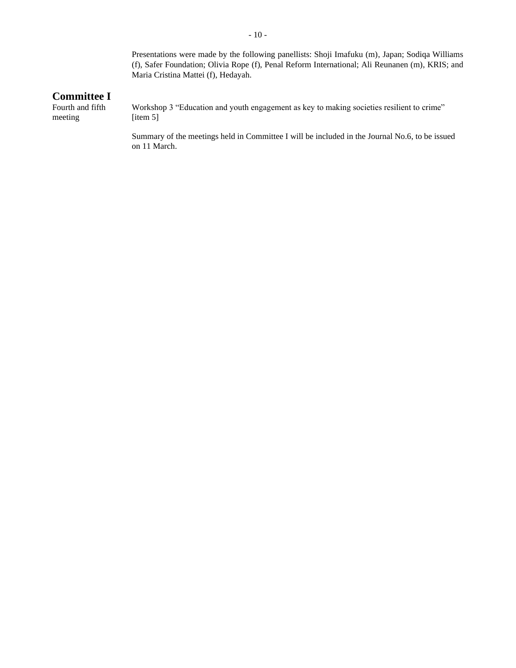Presentations were made by the following panellists: Shoji Imafuku (m), Japan; Sodiqa Williams (f), Safer Foundation; Olivia Rope (f), Penal Reform International; Ali Reunanen (m), KRIS; and Maria Cristina Mattei (f), Hedayah.

## **Committee I**

Fourth and fifth meeting

Workshop 3 "Education and youth engagement as key to making societies resilient to crime" [item 5]

Summary of the meetings held in Committee I will be included in the Journal No.6, to be issued on 11 March.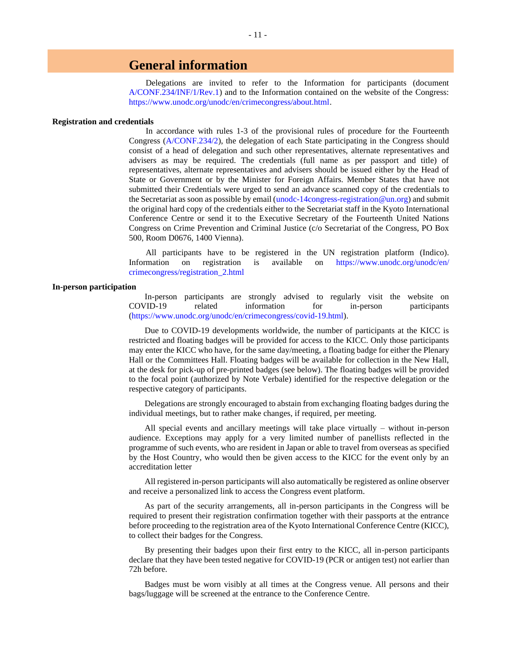## **General information**

Delegations are invited to refer to the Information for participants (document [A/CONF.234/INF/1/Rev.1\)](http://undocs.org/A/CONF.234/INF/1/Rev.1) and to the Information contained on the website of the Congress: [https://www.unodc.org/unodc/en/crimecongress/about.html.](https://www.unodc.org/unodc/en/crimecongress/about.html)

#### **Registration and credentials**

In accordance with rules 1-3 of the provisional rules of procedure for the Fourteenth Congress [\(A/CONF.234/2\)](http://undocs.org/A/Conf.234/2), the delegation of each State participating in the Congress should consist of a head of delegation and such other representatives, alternate representatives and advisers as may be required. The credentials (full name as per passport and title) of representatives, alternate representatives and advisers should be issued either by the Head of State or Government or by the Minister for Foreign Affairs. Member States that have not submitted their Credentials were urged to send an advance scanned copy of the credentials to the Secretariat as soon as possible by email [\(unodc-14congress-registration@un.org\)](mailto:unodc-14congress-registration@un.org) and submit the original hard copy of the credentials either to the Secretariat staff in the Kyoto International Conference Centre or send it to the Executive Secretary of the Fourteenth United Nations Congress on Crime Prevention and Criminal Justice (c/o Secretariat of the Congress, PO Box 500, Room D0676, 1400 Vienna).

All participants have to be registered in the UN registration platform (Indico). Information on registration is available on [https://www.unodc.org/unodc/en/](https://www.unodc.org/unodc/en/crimecongress/registration_2.html) [crimecongress/registration\\_2.html](https://www.unodc.org/unodc/en/crimecongress/registration_2.html)

### **In-person participation**

In-person participants are strongly advised to regularly visit the website on COVID-19 related information for in-person participants [\(https://www.unodc.org/unodc/en/crimecongress/covid-19.html\)](https://www.unodc.org/unodc/en/crimecongress/covid-19.html).

Due to COVID-19 developments worldwide, the number of participants at the KICC is restricted and floating badges will be provided for access to the KICC. Only those participants may enter the KICC who have, for the same day/meeting, a floating badge for either the Plenary Hall or the Committees Hall. Floating badges will be available for collection in the New Hall, at the desk for pick-up of pre-printed badges (see below). The floating badges will be provided to the focal point (authorized by Note Verbale) identified for the respective delegation or the respective category of participants.

Delegations are strongly encouraged to abstain from exchanging floating badges during the individual meetings, but to rather make changes, if required, per meeting.

All special events and ancillary meetings will take place virtually – without in-person audience. Exceptions may apply for a very limited number of panellists reflected in the programme of such events, who are resident in Japan or able to travel from overseas as specified by the Host Country, who would then be given access to the KICC for the event only by an accreditation letter

All registered in-person participants will also automatically be registered as online observer and receive a personalized link to access the Congress event platform.

As part of the security arrangements, all in-person participants in the Congress will be required to present their registration confirmation together with their passports at the entrance before proceeding to the registration area of the Kyoto International Conference Centre (KICC), to collect their badges for the Congress.

By presenting their badges upon their first entry to the KICC, all in-person participants declare that they have been tested negative for COVID-19 (PCR or antigen test) not earlier than 72h before.

Badges must be worn visibly at all times at the Congress venue. All persons and their bags/luggage will be screened at the entrance to the Conference Centre.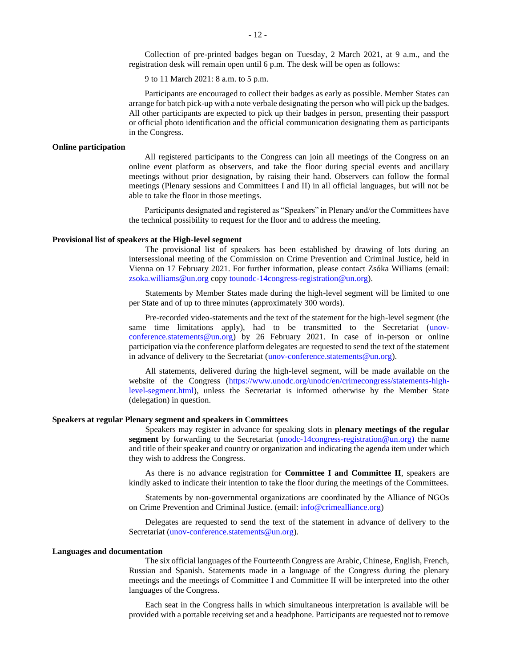Collection of pre-printed badges began on Tuesday, 2 March 2021, at 9 a.m., and the registration desk will remain open until 6 p.m. The desk will be open as follows:

9 to 11 March 2021: 8 a.m. to 5 p.m.

Participants are encouraged to collect their badges as early as possible. Member States can arrange for batch pick-up with a note verbale designating the person who will pick up the badges. All other participants are expected to pick up their badges in person, presenting their passport or official photo identification and the official communication designating them as participants in the Congress.

### **Online participation**

All registered participants to the Congress can join all meetings of the Congress on an online event platform as observers, and take the floor during special events and ancillary meetings without prior designation, by raising their hand. Observers can follow the formal meetings (Plenary sessions and Committees I and II) in all official languages, but will not be able to take the floor in those meetings.

Participants designated and registered as "Speakers" in Plenary and/or the Committees have the technical possibility to request for the floor and to address the meeting.

#### **Provisional list of speakers at the High-level segment**

The provisional list of speakers has been established by drawing of lots during an intersessional meeting of the Commission on Crime Prevention and Criminal Justice, held in Vienna on 17 February 2021. For further information, please contact Zsóka Williams (email: [zsoka.williams@un.org](mailto:zsoka.williams@un.org) copy [tounodc-14congress-registration@un.org\)](mailto:tounodc-14congress-registration@un.org).

Statements by Member States made during the high-level segment will be limited to one per State and of up to three minutes (approximately 300 words).

Pre-recorded video-statements and the text of the statement for the high-level segment (the same time limitations apply), had to be transmitted to the Secretariat [\(unov](mailto:unov-conference.statements@un.org)[conference.statements@un.org\)](mailto:unov-conference.statements@un.org) by 26 February 2021. In case of in-person or online participation via the conference platform delegates are requested to send the text of the statement in advance of delivery to the Secretariat [\(unov-conference.statements@un.org\)](mailto:unov-conference.statements@un.org).

All statements, delivered during the high-level segment, will be made available on the website of the Congress [\(https://www.unodc.org/unodc/en/crimecongress/statements-high](https://www.unodc.org/unodc/en/crimecongress/statements-high-level-segment.html)[level-segment.html\)](https://www.unodc.org/unodc/en/crimecongress/statements-high-level-segment.html), unless the Secretariat is informed otherwise by the Member State (delegation) in question.

### **Speakers at regular Plenary segment and speakers in Committees**

Speakers may register in advance for speaking slots in **plenary meetings of the regular segment** by forwarding to the Secretariat [\(unodc-14congress-registration@un.org\)](mailto:unodc-14congress-registration@un.org) the name and title of their speaker and country or organization and indicating the agenda item under which they wish to address the Congress.

As there is no advance registration for **Committee I and Committee II**, speakers are kindly asked to indicate their intention to take the floor during the meetings of the Committees.

Statements by non-governmental organizations are coordinated by the Alliance of NGOs on Crime Prevention and Criminal Justice. (email: [info@crimealliance.org\)](mailto:info@crimealliance.org)

Delegates are requested to send the text of the statement in advance of delivery to the Secretariat [\(unov-conference.statements@un.org\)](mailto:unov-conference.statements@un.org).

#### **Languages and documentation**

The six official languages of the Fourteenth Congress are Arabic, Chinese, English, French, Russian and Spanish. Statements made in a language of the Congress during the plenary meetings and the meetings of Committee I and Committee II will be interpreted into the other languages of the Congress.

Each seat in the Congress halls in which simultaneous interpretation is available will be provided with a portable receiving set and a headphone. Participants are requested not to remove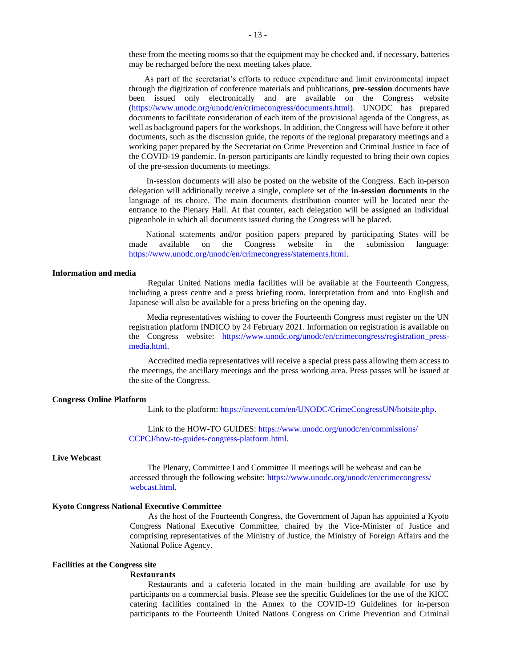these from the meeting rooms so that the equipment may be checked and, if necessary, batteries may be recharged before the next meeting takes place.

As part of the secretariat's efforts to reduce expenditure and limit environmental impact through the digitization of conference materials and publications, **pre-session** documents have been issued only electronically and are available on the Congress website [\(https://www.unodc.org/unodc/en/crimecongress/documents.html\)](https://www.unodc.org/unodc/en/crimecongress/documents.html). UNODC has prepared documents to facilitate consideration of each item of the provisional agenda of the Congress, as well as background papers for the workshops. In addition, the Congress will have before it other documents, such as the discussion guide, the reports of the regional preparatory meetings and a working paper prepared by the Secretariat on Crime Prevention and Criminal Justice in face of the COVID-19 pandemic. In-person participants are kindly requested to bring their own copies of the pre-session documents to meetings.

In-session documents will also be posted on the website of the Congress. Each in-person delegation will additionally receive a single, complete set of the **in-session documents** in the language of its choice. The main documents distribution counter will be located near the entrance to the Plenary Hall. At that counter, each delegation will be assigned an individual pigeonhole in which all documents issued during the Congress will be placed.

National statements and/or position papers prepared by participating States will be made available on the Congress website in the submission language: [https://www.unodc.org/unodc/en/crimecongress/statements.html.](https://www.unodc.org/unodc/en/crimecongress/statements.html)

## **Information and media**

Regular United Nations media facilities will be available at the Fourteenth Congress, including a press centre and a press briefing room. Interpretation from and into English and Japanese will also be available for a press briefing on the opening day.

Media representatives wishing to cover the Fourteenth Congress must register on the UN registration platform INDICO by 24 February 2021. Information on registration is available on the Congress website: [https://www.unodc.org/unodc/en/crimecongress/registration\\_press](https://www.unodc.org/unodc/en/crimecongress/registration_press-media.html)[media.html.](https://www.unodc.org/unodc/en/crimecongress/registration_press-media.html)

Accredited media representatives will receive a special press pass allowing them access to the meetings, the ancillary meetings and the press working area. Press passes will be issued at the site of the Congress.

#### **Congress Online Platform**

Link to the platform[: https://inevent.com/en/UNODC/CrimeCongressUN/hotsite.php.](https://inevent.com/en/UNODC/CrimeCongressUN/hotsite.php)

Link to the HOW-TO GUIDES: [https://www.unodc.org/unodc/en/commissions/](https://www.unodc.org/unodc/en/commissions/CCPCJ/how-to-guides-congress-platform.html) [CCPCJ/how-to-guides-congress-platform.html.](https://www.unodc.org/unodc/en/commissions/CCPCJ/how-to-guides-congress-platform.html)

### **Live Webcast**

The Plenary, Committee I and Committee II meetings will be webcast and can be accessed through the following website: [https://www.unodc.org/unodc/en/crimecongress/](https://www.unodc.org/unodc/en/crimecongress/webcast.html) [webcast.html.](https://www.unodc.org/unodc/en/crimecongress/webcast.html)

### **Kyoto Congress National Executive Committee**

As the host of the Fourteenth Congress, the Government of Japan has appointed a Kyoto Congress National Executive Committee, chaired by the Vice-Minister of Justice and comprising representatives of the Ministry of Justice, the Ministry of Foreign Affairs and the National Police Agency.

### **Facilities at the Congress site**

#### **Restaurants**

Restaurants and a cafeteria located in the main building are available for use by participants on a commercial basis. Please see the specific Guidelines for the use of the KICC catering facilities contained in the Annex to the COVID-19 Guidelines for in-person participants to the Fourteenth United Nations Congress on Crime Prevention and Criminal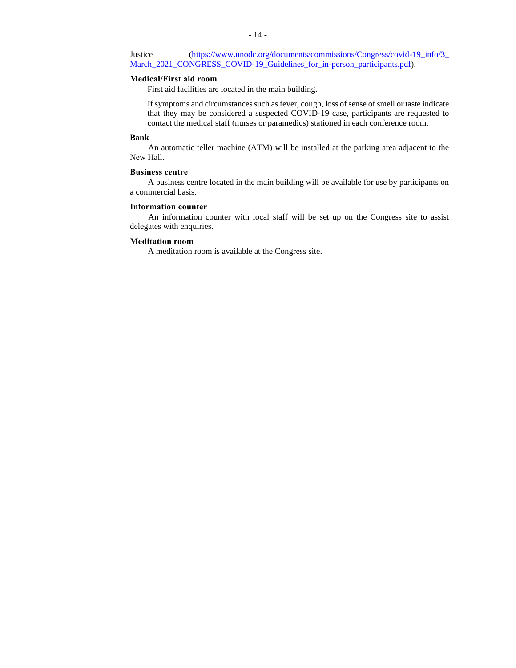Justice [\(https://www.unodc.org/documents/commissions/Congress/covid-19\\_info/3\\_](https://www.unodc.org/documents/commissions/Congress/covid-19_info/3_March_2021_CONGRESS_COVID-19_Guidelines_for_in-person_participants.pdf) [March\\_2021\\_CONGRESS\\_COVID-19\\_Guidelines\\_for\\_in-person\\_participants.pdf\)](https://www.unodc.org/documents/commissions/Congress/covid-19_info/3_March_2021_CONGRESS_COVID-19_Guidelines_for_in-person_participants.pdf).

## **Medical/First aid room**

First aid facilities are located in the main building.

If symptoms and circumstances such as fever, cough, loss of sense of smell or taste indicate that they may be considered a suspected COVID-19 case, participants are requested to contact the medical staff (nurses or paramedics) stationed in each conference room.

#### **Bank**

An automatic teller machine (ATM) will be installed at the parking area adjacent to the New Hall.

## **Business centre**

A business centre located in the main building will be available for use by participants on a commercial basis.

## **Information counter**

An information counter with local staff will be set up on the Congress site to assist delegates with enquiries.

## **Meditation room**

A meditation room is available at the Congress site.